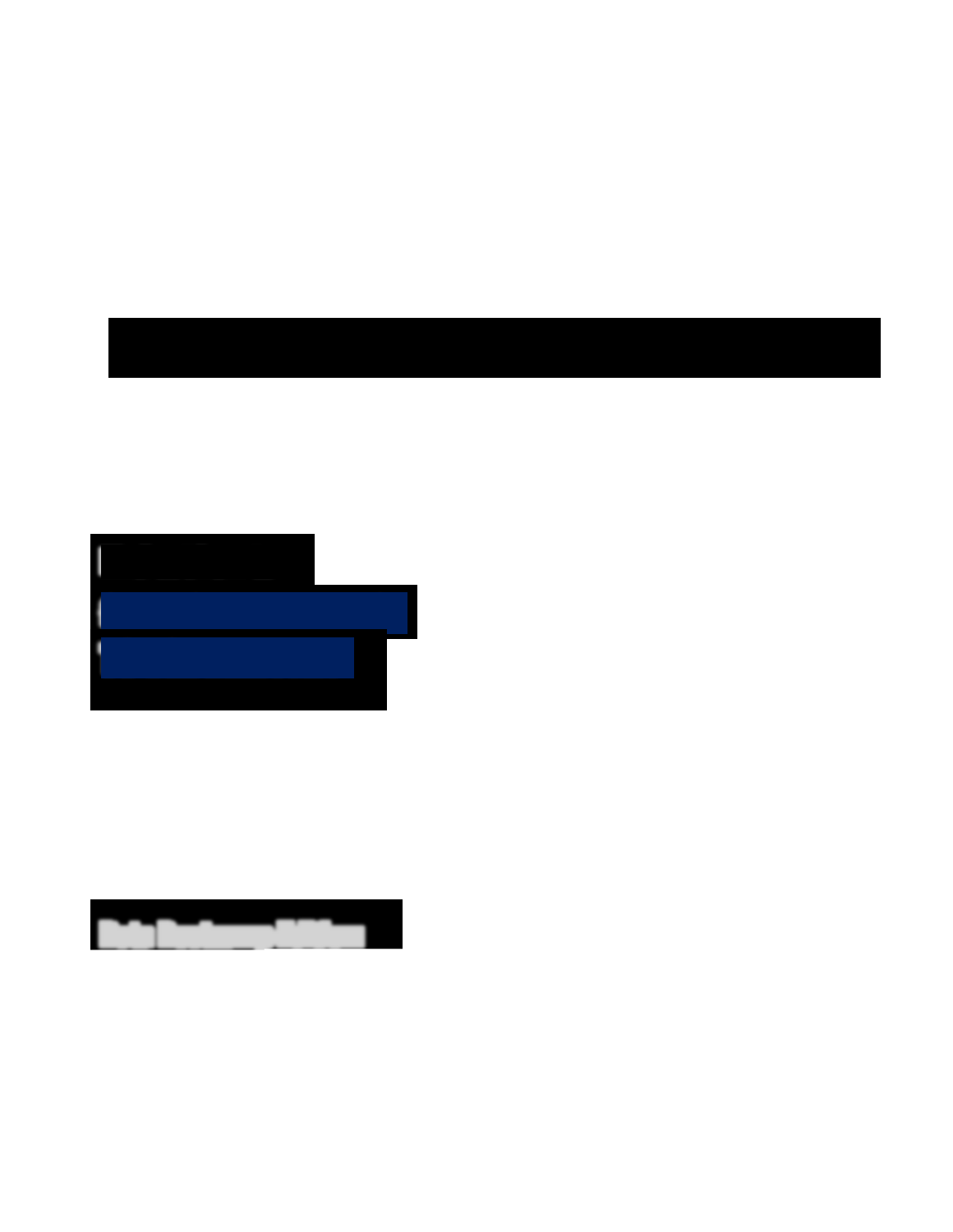

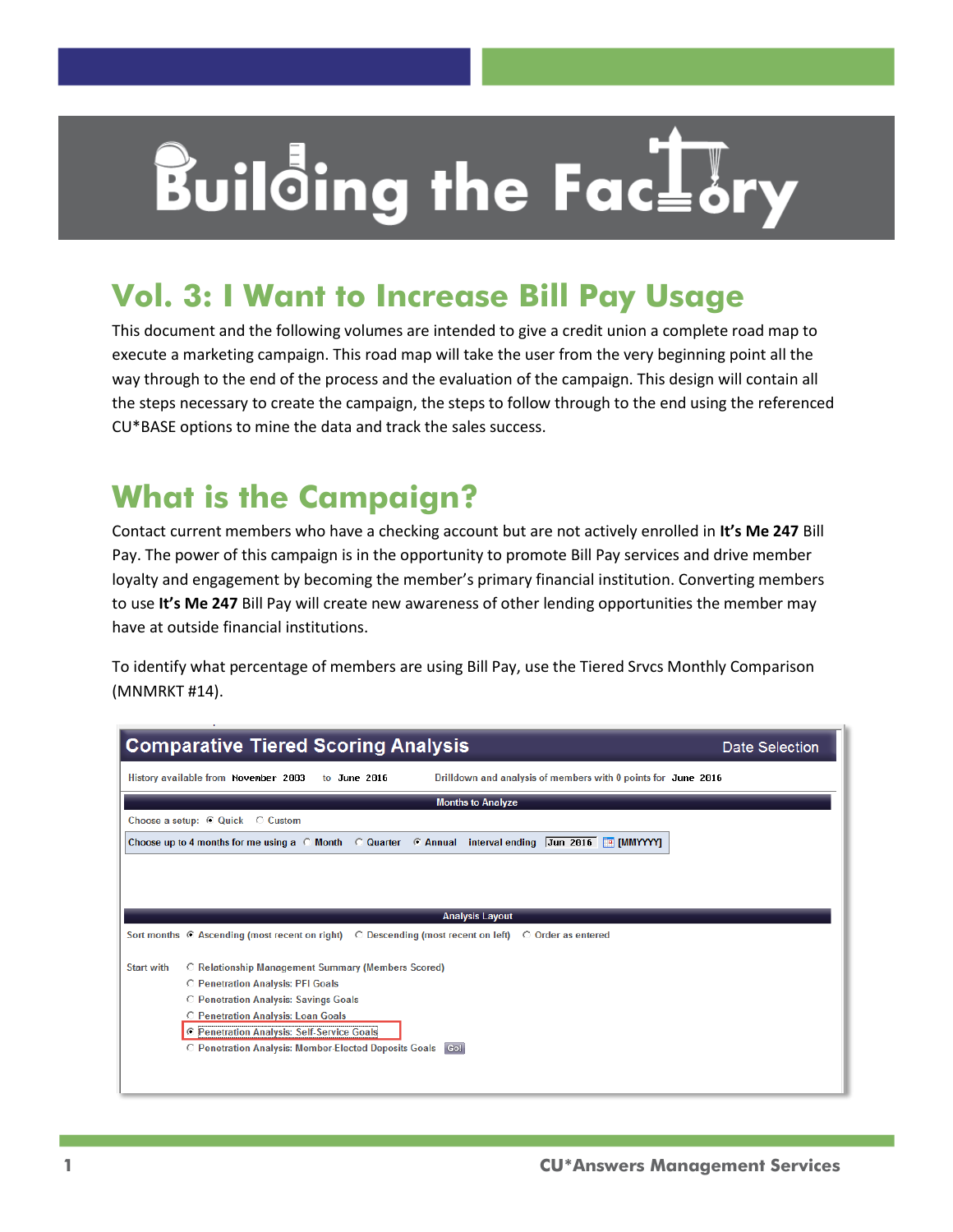# **Building the Factury**

# **Vol. 3: I Want to Increase Bill Pay Usage**

This document and the following volumes are intended to give a credit union a complete road map to execute a marketing campaign. This road map will take the user from the very beginning point all the way through to the end of the process and the evaluation of the campaign. This design will contain all the steps necessary to create the campaign, the steps to follow through to the end using the referenced CU\*BASE options to mine the data and track the sales success.

# **What is the Campaign?**

Contact current members who have a checking account but are not actively enrolled in **It's Me 247** Bill Pay. The power of this campaign is in the opportunity to promote Bill Pay services and drive member loyalty and engagement by becoming the member's primary financial institution. Converting members to use **It's Me 247** Bill Pay will create new awareness of other lending opportunities the member may have at outside financial institutions.

To identify what percentage of members are using Bill Pay, use the Tiered Srvcs Monthly Comparison (MNMRKT #14).

| <b>Comparative Tiered Scoring Analysis</b>                                                                                                      | Date Selection |
|-------------------------------------------------------------------------------------------------------------------------------------------------|----------------|
| History available from November 2003<br>Drilldown and analysis of members with 0 points for June 2016<br>to June 2016                           |                |
| <b>Months to Analyze</b>                                                                                                                        |                |
| Choose a setup: C Quick C Custom                                                                                                                |                |
| Choose up to 4 months for me using a $\odot$ Month $\odot$ Quarter $\odot$ Annual interval ending $\boxed{$ Jun 2016 <b>Example 18</b> [MMYYYY] |                |
|                                                                                                                                                 |                |
|                                                                                                                                                 |                |
|                                                                                                                                                 |                |
| <b>Analysis Layout</b>                                                                                                                          |                |
| Sort months C Ascending (most recent on right) C Descending (most recent on left) C Order as entered                                            |                |
| C Relationship Management Summary (Members Scored)<br>Start with                                                                                |                |
| <b>C</b> Penetration Analysis: PFI Goals                                                                                                        |                |
| <b>C</b> Penetration Analysis: Savings Goals                                                                                                    |                |
| C Penetration Analysis: Loan Goals                                                                                                              |                |
| C Penetration Analysis: Self-Service Goals                                                                                                      |                |
| <b>C</b> Penetration Analysis: Member-Elected Deposits Goals<br>Go!                                                                             |                |
|                                                                                                                                                 |                |
|                                                                                                                                                 |                |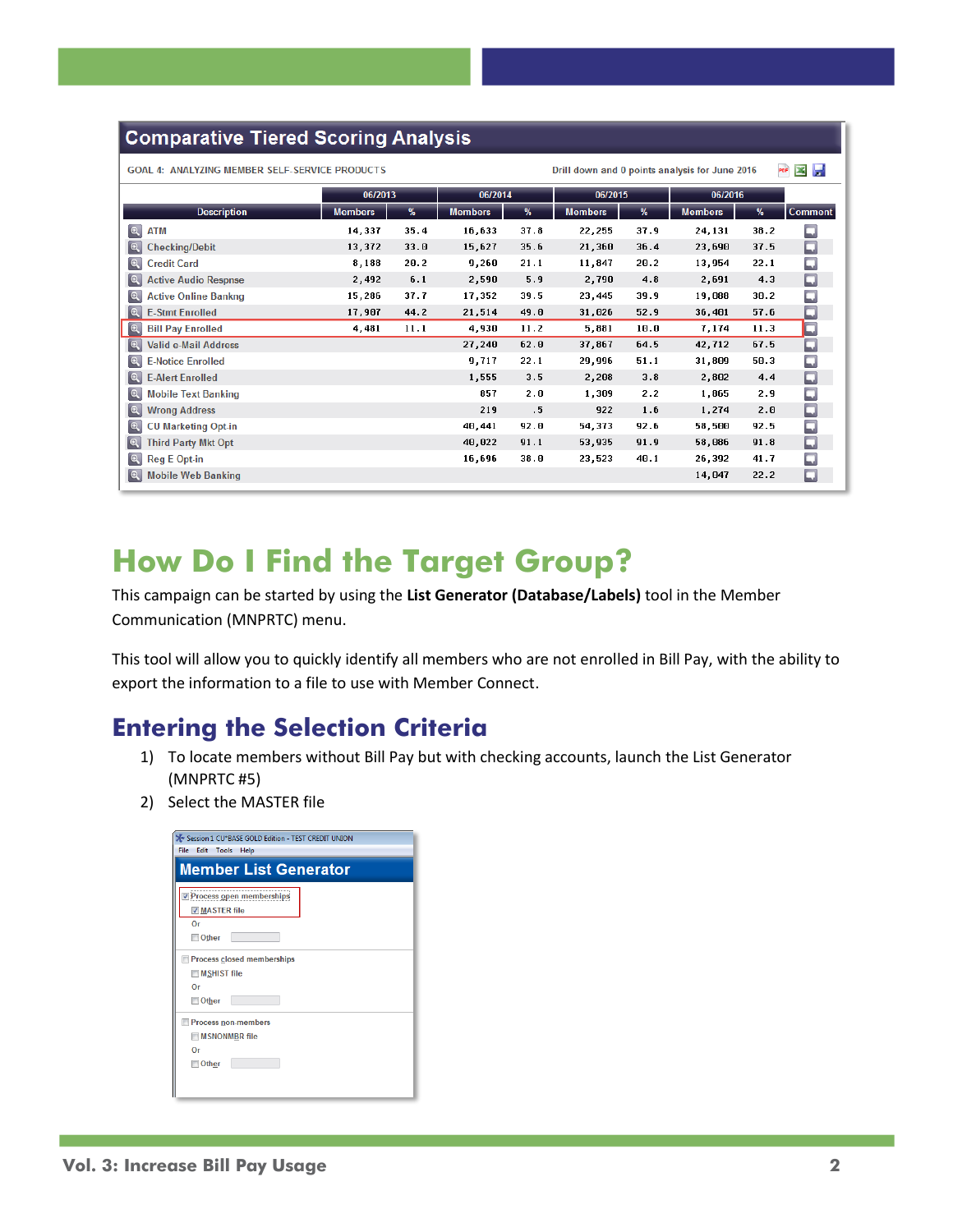#### **Comparative Tiered Scoring Analysis**

| <b>GOAL 4: ANALYZING MEMBER SELF-SERVICE PRODUCTS</b>  |                |      |                |      | Drill down and 0 points analysis for June 2016 |      |                |      | Ы<br>卒<br>PDF  |
|--------------------------------------------------------|----------------|------|----------------|------|------------------------------------------------|------|----------------|------|----------------|
|                                                        | 06/2013        |      | 06/2014        |      | 06/2015                                        |      | 06/2016        |      |                |
| <b>Description</b>                                     | <b>Members</b> | %    | <b>Members</b> | ℅    | <b>Members</b>                                 | %    | <b>Members</b> | %    | <b>Comment</b> |
| <b>ATM</b><br>$\mathbf{\Omega}$                        | 14,337         | 35.4 | 16,633         | 37.8 | 22,255                                         | 37.9 | 24,131         | 38.2 | ۵              |
| <b>Checking/Debit</b><br>$  \mathbf{Q}  $              | 13,372         | 33.0 | 15,627         | 35.6 | 21,360                                         | 36.4 | 23,690         | 37.5 | $\Box$         |
| <b>Credit Card</b><br>$\mathbf{\Omega}$                | 8,188          | 20.2 | 9,260          | 21.1 | 11,847                                         | 20.2 | 13,954         | 22.1 | Ξ              |
| <b>Active Audio Respnse</b><br>$  \mathbf{Q}  $        | 2,492          | 6.1  | 2,590          | 5.9  | 2,790                                          | 4.8  | 2,691          | 4.3  | $\Box$         |
| <b>Active Online Bankng</b><br>$\Theta$                | 15,286         | 37.7 | 17,352         | 39.5 | 23,445                                         | 39.9 | 19,088         | 30.2 | $\Box$         |
| <b>E-Stmt Enrolled</b><br>$\circ$                      | 17,907         | 44.2 | 21,514         | 49.0 | 31,026                                         | 52.9 | 36,401         | 57.6 | $\Box$         |
| <b>Bill Pay Enrolled</b><br>$\Omega$                   | 4,481          | 11.1 | 4,930          | 11.2 | 5,881                                          | 10.0 | 7,174          | 11.3 |                |
| <b>Valid e-Mail Address</b><br>$\overline{\mathbf{a}}$ |                |      | 27,240         | 62.0 | 37,867                                         | 64.5 | 42,712         | 67.5 | Ξ              |
| <b>E-Notice Enrolled</b><br>$\mathbf{Q}$               |                |      | 9,717          | 22.1 | 29,996                                         | 51.1 | 31,809         | 50.3 |                |
| <b>E-Alert Enrolled</b><br>$  \mathbf{Q}  $            |                |      | 1,555          | 3.5  | 2,208                                          | 3.8  | 2,802          | 4.4  | $\Box$         |
| <b>Mobile Text Banking</b><br>$\mathbf{Q}$             |                |      | 857            | 2.0  | 1,309                                          | 2.2  | 1,865          | 2.9  | $\Box$         |
| <b>Wrong Address</b><br>$  \mathbf{Q}  $               |                |      | 219            | .5   | 922                                            | 1.6  | 1,274          | 2.0  | $\Box$         |
| <b>CU Marketing Opt-in</b><br>$\mathbf{\Omega}$        |                |      | 40,441         | 92.0 | 54,373                                         | 92.6 | 58,500         | 92.5 | $\Box$         |
| <b>Third Party Mkt Opt</b><br>$\mathbf{Q}$             |                |      | 40,022         | 91.1 | 53,935                                         | 91.9 | 58,086         | 91.8 | $\Box$         |
| <b>Reg E Opt-in</b><br>$\mathbf{a}$                    |                |      | 16,696         | 38.0 | 23,523                                         | 40.1 | 26,392         | 41.7 | $\Box$         |
| <b>Mobile Web Banking</b><br>$  \mathbf{a}  $          |                |      |                |      |                                                |      | 14,047         | 22.2 | ۵              |

# **How Do I Find the Target Group?**

This campaign can be started by using the **List Generator (Database/Labels)** tool in the Member Communication (MNPRTC) menu.

This tool will allow you to quickly identify all members who are not enrolled in Bill Pay, with the ability to export the information to a file to use with Member Connect.

## **Entering the Selection Criteria**

- 1) To locate members without Bill Pay but with checking accounts, launch the List Generator (MNPRTC #5)
- 2) Select the MASTER file

| Session 1 CU*BASE GOLD Edition - TEST CREDIT UNION        |
|-----------------------------------------------------------|
| File -<br>Edit Tools<br>Help                              |
| <b>Member List Generator</b>                              |
| <b>7 Process open memberships</b><br><b>V</b> MASTER file |
| Or<br><b>Other</b>                                        |
| Process closed memberships<br><b>MSHIST</b> file          |
| Or<br>Other                                               |
| <b>Process non-members</b><br><b>MSNONMBR</b> file        |
| Or<br>Other                                               |
|                                                           |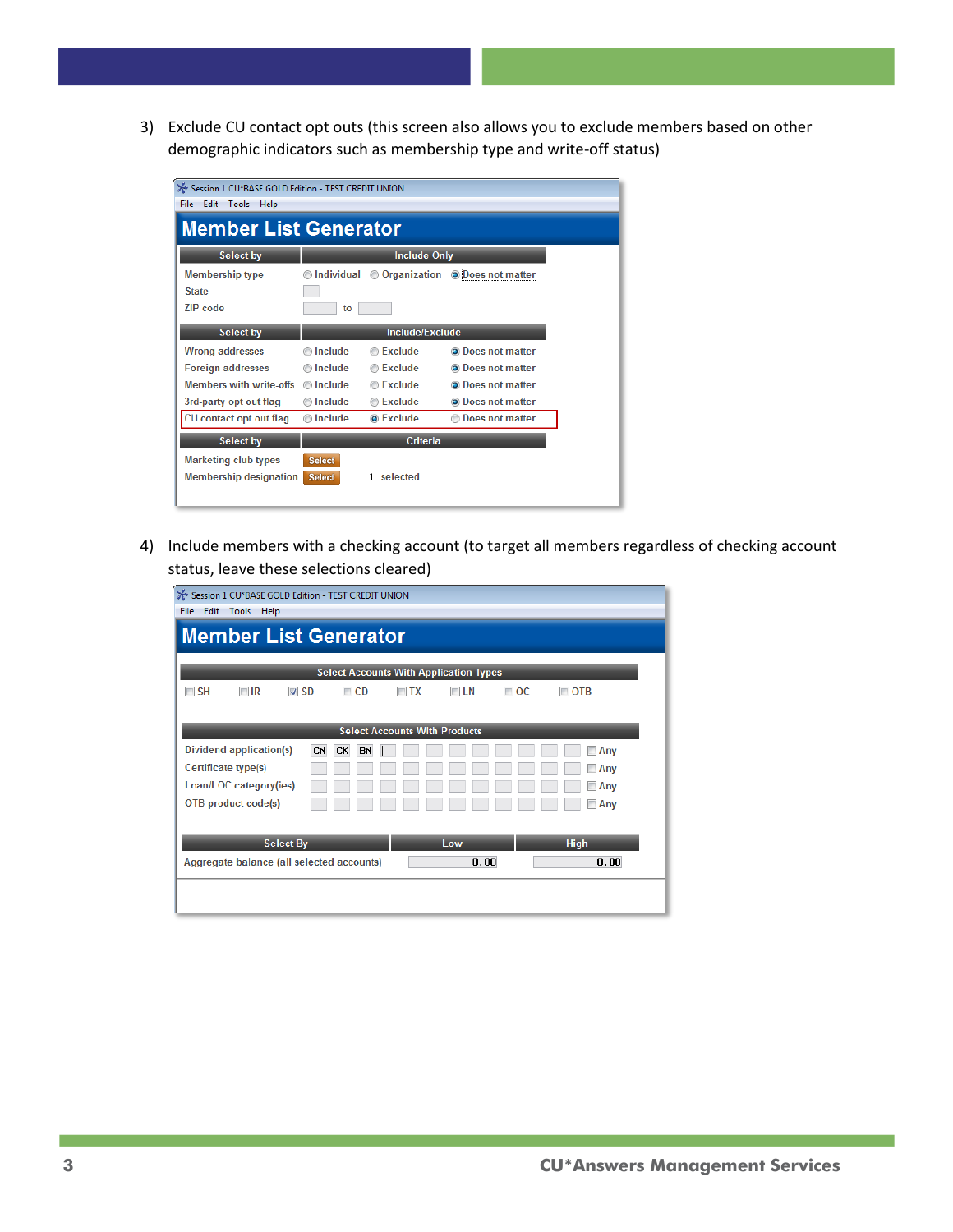3) Exclude CU contact opt outs (this screen also allows you to exclude members based on other demographic indicators such as membership type and write-off status)

| Session 1 CU*BASE GOLD Edition - TEST CREDIT UNION |                     |                          |                          |  |  |  |  |
|----------------------------------------------------|---------------------|--------------------------|--------------------------|--|--|--|--|
| Edit<br>Help<br>File<br>Tools                      |                     |                          |                          |  |  |  |  |
| <b>Member List Generator</b>                       |                     |                          |                          |  |  |  |  |
| <b>Include Only</b>                                |                     |                          |                          |  |  |  |  |
| <b>Select by</b>                                   |                     |                          |                          |  |  |  |  |
| <b>Membership type</b>                             | <b>O</b> Individual | © Organization           | $\circ$<br><b>Does</b> n |  |  |  |  |
| <b>State</b>                                       |                     |                          |                          |  |  |  |  |
| <b>ZIP</b> code                                    | to                  |                          |                          |  |  |  |  |
| Select by                                          |                     | Include/Exclude          |                          |  |  |  |  |
|                                                    |                     |                          |                          |  |  |  |  |
| <b>Wrong addresses</b>                             | lnclude             | <b>◎ Exclude</b>         | <b>O</b> Does not matter |  |  |  |  |
| <b>Foreign addresses</b>                           | lnclude             | <b>Exclude</b>           | <b>O</b> Does not matter |  |  |  |  |
| Members with write-offs                            | lnclude             | <b>Exclude</b>           | <b>O</b> Does not matter |  |  |  |  |
| 3rd-party opt out flag                             | lnclude             | <b>◎ Exclude</b>         | <b>O</b> Does not matter |  |  |  |  |
| CU contact opt out flag                            | <b>O</b> Include    | <b>O</b> Exclude         | Does not matter          |  |  |  |  |
| Select by                                          |                     | Criteria                 |                          |  |  |  |  |
| <b>Marketing club types</b>                        | <b>Select</b>       |                          |                          |  |  |  |  |
| <b>Membership designation</b>                      | <b>Select</b>       | selected<br>$\mathbf{1}$ |                          |  |  |  |  |
|                                                    |                     |                          |                          |  |  |  |  |
|                                                    |                     |                          |                          |  |  |  |  |

4) Include members with a checking account (to target all members regardless of checking account status, leave these selections cleared)

| Session 1 CU*BASE GOLD Edition - TEST CREDIT UNION |                                               |                         |
|----------------------------------------------------|-----------------------------------------------|-------------------------|
| Help<br>File<br>Edit<br>Tools                      |                                               |                         |
| <b>Member List Generator</b>                       |                                               |                         |
|                                                    |                                               |                         |
|                                                    | <b>Select Accounts With Application Types</b> |                         |
| $\Box$ SH<br>$\Box$ IR<br>$\triangledown$ SD       | $\Box$ CD<br>$\Box$ LN<br>$\Box$ tx           | $\Box$ OC<br><b>OTB</b> |
|                                                    |                                               |                         |
|                                                    | <b>Select Accounts With Products</b>          |                         |
| <b>Dividend application(s)</b><br>CN<br><b>CK</b>  | <b>BN</b>                                     | $\Box$ Any              |
| Certificate type(s)                                |                                               | Any                     |
| Loan/LOC category(ies)                             |                                               | $\Box$ Any              |
| OTB product code(s)                                |                                               | Any                     |
|                                                    |                                               |                         |
| <b>Select By</b>                                   | Low                                           | <b>High</b>             |
| Aggregate balance (all selected accounts)          | 0.00                                          | 0.00                    |
|                                                    |                                               |                         |
|                                                    |                                               |                         |
|                                                    |                                               |                         |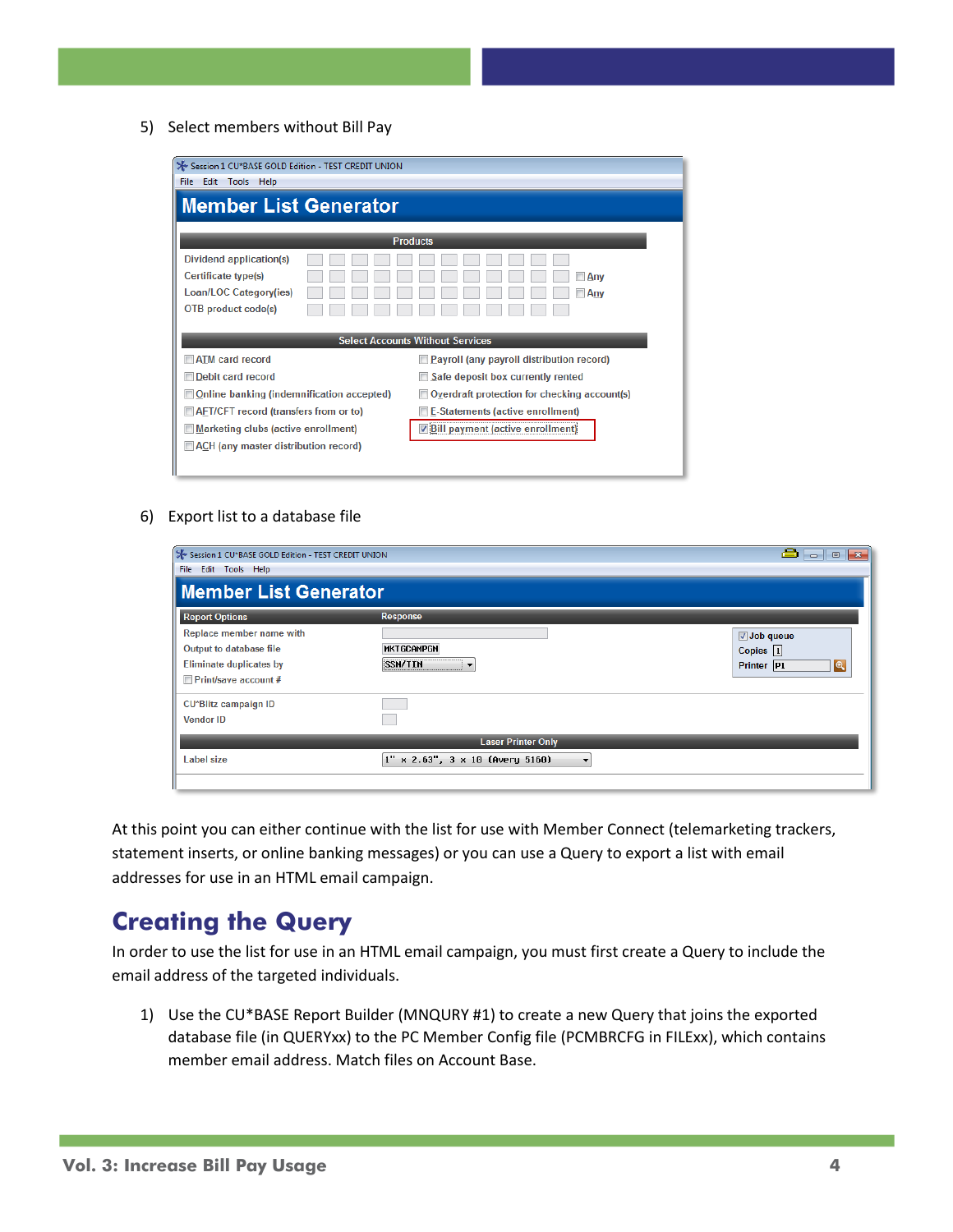5) Select members without Bill Pay

| Session 1 CU*BASE GOLD Edition - TEST CREDIT UNION |                                                   |
|----------------------------------------------------|---------------------------------------------------|
| <b>File</b><br>Edit<br>Tools<br>Help               |                                                   |
| <b>Member List Generator</b>                       |                                                   |
|                                                    |                                                   |
|                                                    | <b>Products</b>                                   |
| Dividend application(s)                            |                                                   |
| Certificate type(s)                                | Any                                               |
| Loan/LOC Category(ies)                             | Any                                               |
| OTB product code(s)                                |                                                   |
|                                                    |                                                   |
|                                                    | <b>Select Accounts Without Services</b>           |
| <b>ATM card record</b>                             | <b>Payroll (any payroll distribution record)</b>  |
| Debit card record<br>m                             | Safe deposit box currently rented                 |
| Online banking (indemnification accepted)          | Overdraft protection for checking account(s)<br>E |
| AFT/CFT record (transfers from or to)              | <b>E-Statements (active enrollment)</b>           |
| <b>Marketing clubs (active enrollment)</b>         | <b>ZBill payment (active enrollment)</b>          |
| ACH (any master distribution record)               |                                                   |
|                                                    |                                                   |

#### 6) Export list to a database file

| Session 1 CU*BASE GOLD Edition - TEST CREDIT UNION |                                                                | $\Box$ X<br>$\Box$      |  |  |
|----------------------------------------------------|----------------------------------------------------------------|-------------------------|--|--|
| Edit Tools Help<br>File                            |                                                                |                         |  |  |
| <b>Member List Generator</b>                       |                                                                |                         |  |  |
| <b>Report Options</b>                              | Response                                                       |                         |  |  |
| Replace member name with                           |                                                                | Job queue               |  |  |
| Output to database file                            | <b>MKTGCAMPGN</b>                                              | Copies $\boxed{1}$      |  |  |
| <b>Eliminate duplicates by</b>                     | SSN/TIN                                                        | Printer P1<br>$\bullet$ |  |  |
| $\Box$ Print/save account #                        |                                                                |                         |  |  |
| <b>CU*Blitz campaign ID</b>                        |                                                                |                         |  |  |
| <b>Vendor ID</b>                                   |                                                                |                         |  |  |
| <b>Laser Printer Only</b>                          |                                                                |                         |  |  |
| <b>Label size</b>                                  | $1''$ x 2.63", 3 x 10 (Avery 5160)<br>$\overline{\phantom{a}}$ |                         |  |  |
|                                                    |                                                                |                         |  |  |

At this point you can either continue with the list for use with Member Connect (telemarketing trackers, statement inserts, or online banking messages) or you can use a Query to export a list with email addresses for use in an HTML email campaign.

## **Creating the Query**

In order to use the list for use in an HTML email campaign, you must first create a Query to include the email address of the targeted individuals.

1) Use the CU\*BASE Report Builder (MNQURY #1) to create a new Query that joins the exported database file (in QUERYxx) to the PC Member Config file (PCMBRCFG in FILExx), which contains member email address. Match files on Account Base.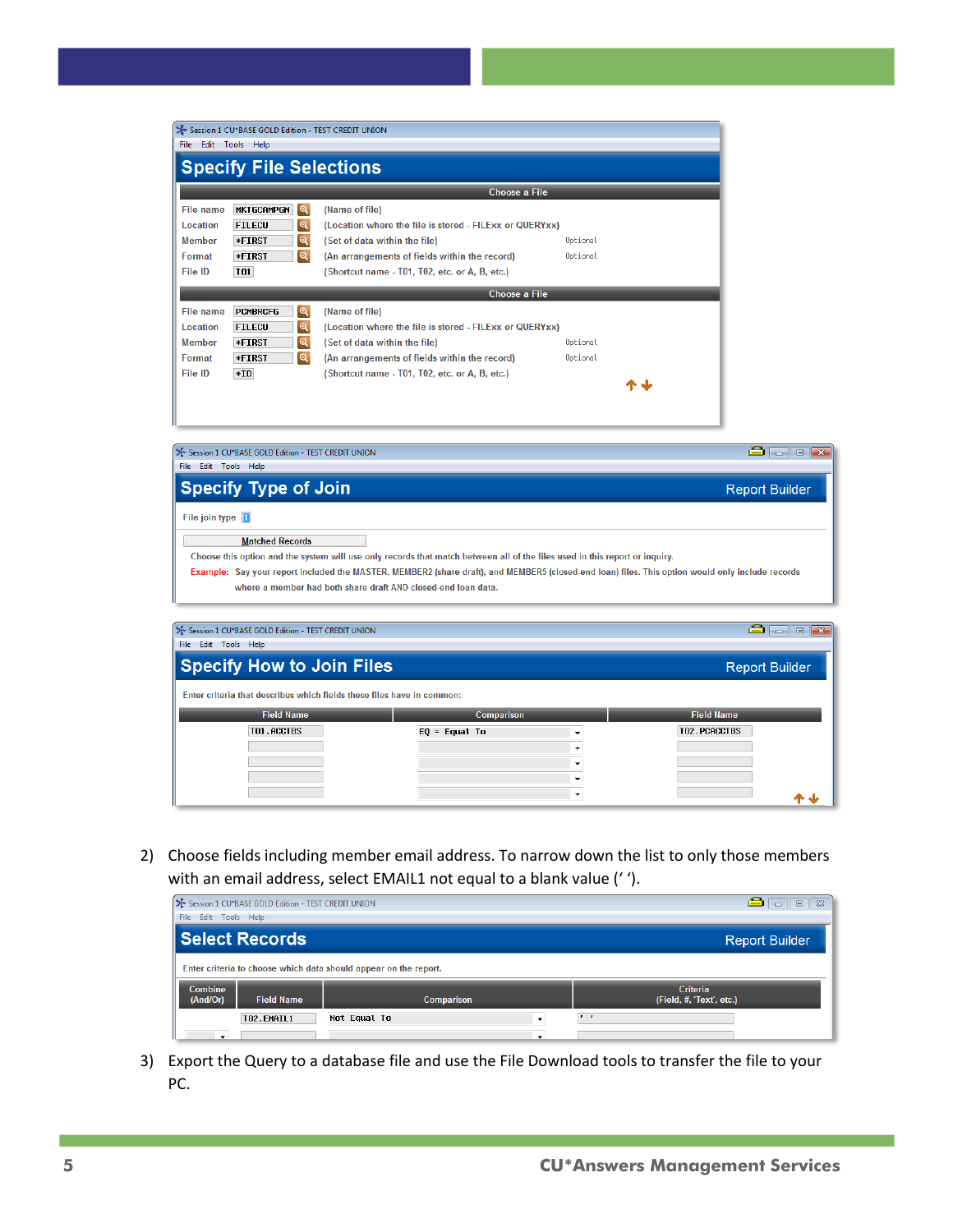|                                                                                  | Session 1 CU*BASE GOLD Edition - TEST CREDIT UNION                                                                                                       |                                                                                                                                                                                                                                                                                                                                                  |                                |                                                                                                                                                                                                                                                                                                                                                                                                |
|----------------------------------------------------------------------------------|----------------------------------------------------------------------------------------------------------------------------------------------------------|--------------------------------------------------------------------------------------------------------------------------------------------------------------------------------------------------------------------------------------------------------------------------------------------------------------------------------------------------|--------------------------------|------------------------------------------------------------------------------------------------------------------------------------------------------------------------------------------------------------------------------------------------------------------------------------------------------------------------------------------------------------------------------------------------|
| File Edit Tools Help                                                             |                                                                                                                                                          |                                                                                                                                                                                                                                                                                                                                                  |                                |                                                                                                                                                                                                                                                                                                                                                                                                |
|                                                                                  |                                                                                                                                                          |                                                                                                                                                                                                                                                                                                                                                  |                                |                                                                                                                                                                                                                                                                                                                                                                                                |
|                                                                                  | <b>Specify File Selections</b>                                                                                                                           |                                                                                                                                                                                                                                                                                                                                                  |                                |                                                                                                                                                                                                                                                                                                                                                                                                |
|                                                                                  |                                                                                                                                                          | Choose a File                                                                                                                                                                                                                                                                                                                                    |                                |                                                                                                                                                                                                                                                                                                                                                                                                |
| <b>File name</b><br><b>Location</b><br><b>Member</b><br>Format<br><b>File ID</b> | <b>MKTGCAMPGN</b><br>$\mathbf{Q}$<br>$\mathbf{\Omega}$<br><b>FILECU</b><br>$\mathbf{\mathfrak{a}}$<br><b>*FIRST</b><br><b>*FIRST</b><br>$\bullet$<br>T01 | (Name of file)<br>(Location where the file is stored - FILExx or QUERYxx)<br>(Set of data within the file)<br>(An arrangements of fields within the record)<br>(Shortcut name - T01, T02, etc. or A, B, etc.)                                                                                                                                    | Optional<br>Optional           |                                                                                                                                                                                                                                                                                                                                                                                                |
|                                                                                  |                                                                                                                                                          | <b>Choose a File</b>                                                                                                                                                                                                                                                                                                                             |                                |                                                                                                                                                                                                                                                                                                                                                                                                |
| <b>File name</b><br>Location<br><b>Member</b><br>Format<br><b>File ID</b>        | $\mathbf{Q}$<br><b>PCMBRCFG</b><br>$\mathbf{a}$<br><b>FILECU</b><br>$\alpha$<br><b>*FIRST</b><br>$\mathbf{\Omega}$<br><b>*FIRST</b><br>$*ID$             | (Name of file)<br>(Location where the file is stored - FILExx or QUERYxx)<br>(Set of data within the file)<br>(An arrangements of fields within the record)<br>(Shortcut name - T01, T02, etc. or A, B, etc.)                                                                                                                                    | Optional<br>Optional           |                                                                                                                                                                                                                                                                                                                                                                                                |
| File Edit Tools Help<br>File join type                                           | Session 1 CU*BASE GOLD Edition - TEST CREDIT UNION<br><b>Specify Type of Join</b>                                                                        |                                                                                                                                                                                                                                                                                                                                                  |                                | $\blacksquare$ $\blacksquare$<br><b>Report Builder</b>                                                                                                                                                                                                                                                                                                                                         |
|                                                                                  | <b>Matched Records</b>                                                                                                                                   | Choose this option and the system will use only records that match between all of the files used in this report or inquiry.<br>Example: Say your report included the MASTER, MEMBER2 (share draft), and MEMBER5 (closed-end loan) files. This option would only include records<br>where a member had both share draft AND closed-end loan data. |                                |                                                                                                                                                                                                                                                                                                                                                                                                |
| File Edit Tools Help                                                             | Session 1 CU*BASE GOLD Edition - TEST CREDIT UNION                                                                                                       |                                                                                                                                                                                                                                                                                                                                                  |                                | e<br>$\begin{array}{c c c c c c} \hline \multicolumn{3}{c }{\mathbf{C}} & \multicolumn{3}{c }{\mathbf{C}} & \multicolumn{3}{c }{\mathbf{X}} \\\hline \multicolumn{3}{c }{\mathbf{C}} & \multicolumn{3}{c }{\mathbf{D}} & \multicolumn{3}{c }{\mathbf{X}} \\\hline \multicolumn{3}{c }{\mathbf{D}} & \multicolumn{3}{c }{\mathbf{S}} & \multicolumn{3}{c }{\mathbf{S}} \end{array} \end{array}$ |
|                                                                                  | <b>Specify How to Join Files</b><br><b>Field Name</b><br>T01.ACCTBS                                                                                      | Enter criteria that describes which fields these files have in common:<br>Comparison<br>EQ = Equal To                                                                                                                                                                                                                                            | $\blacktriangledown$           | <b>Report Builder</b><br><b>Field Name</b><br>T02.PCACCTBS                                                                                                                                                                                                                                                                                                                                     |
|                                                                                  |                                                                                                                                                          |                                                                                                                                                                                                                                                                                                                                                  | $\blacktriangledown$<br>٠<br>٠ |                                                                                                                                                                                                                                                                                                                                                                                                |

2) Choose fields including member email address. To narrow down the list to only those members with an email address, select EMAIL1 not equal to a blank value ('').

 $\mathcal{L}_{\mathcal{A}}$ 

| Session 1 CU*BASE GOLD Edition - TEST CREDIT UNION               |              | e.<br>$\Box$<br> z3 <br>$\Box$       |  |  |  |
|------------------------------------------------------------------|--------------|--------------------------------------|--|--|--|
| Edit Tools Help<br>File                                          |              |                                      |  |  |  |
| Select Records                                                   |              | <b>Report Builder</b>                |  |  |  |
| Enter criteria to choose which data should appear on the report. |              |                                      |  |  |  |
| Combine<br>(And/Or)<br><b>Field Name</b>                         | Comparison   | Criteria<br>(Field, #, 'Text', etc.) |  |  |  |
| T02.EMAIL1                                                       | Not Equal To | $\cdots$<br>$\overline{\phantom{a}}$ |  |  |  |
| $\overline{\phantom{0}}$                                         |              | ٠                                    |  |  |  |

3) Export the Query to a database file and use the File Download tools to transfer the file to your PC.

 $\mathcal{L}^{\text{max}}$ 

 $\mathcal{L}^{\text{max}}$ 

 $+ +$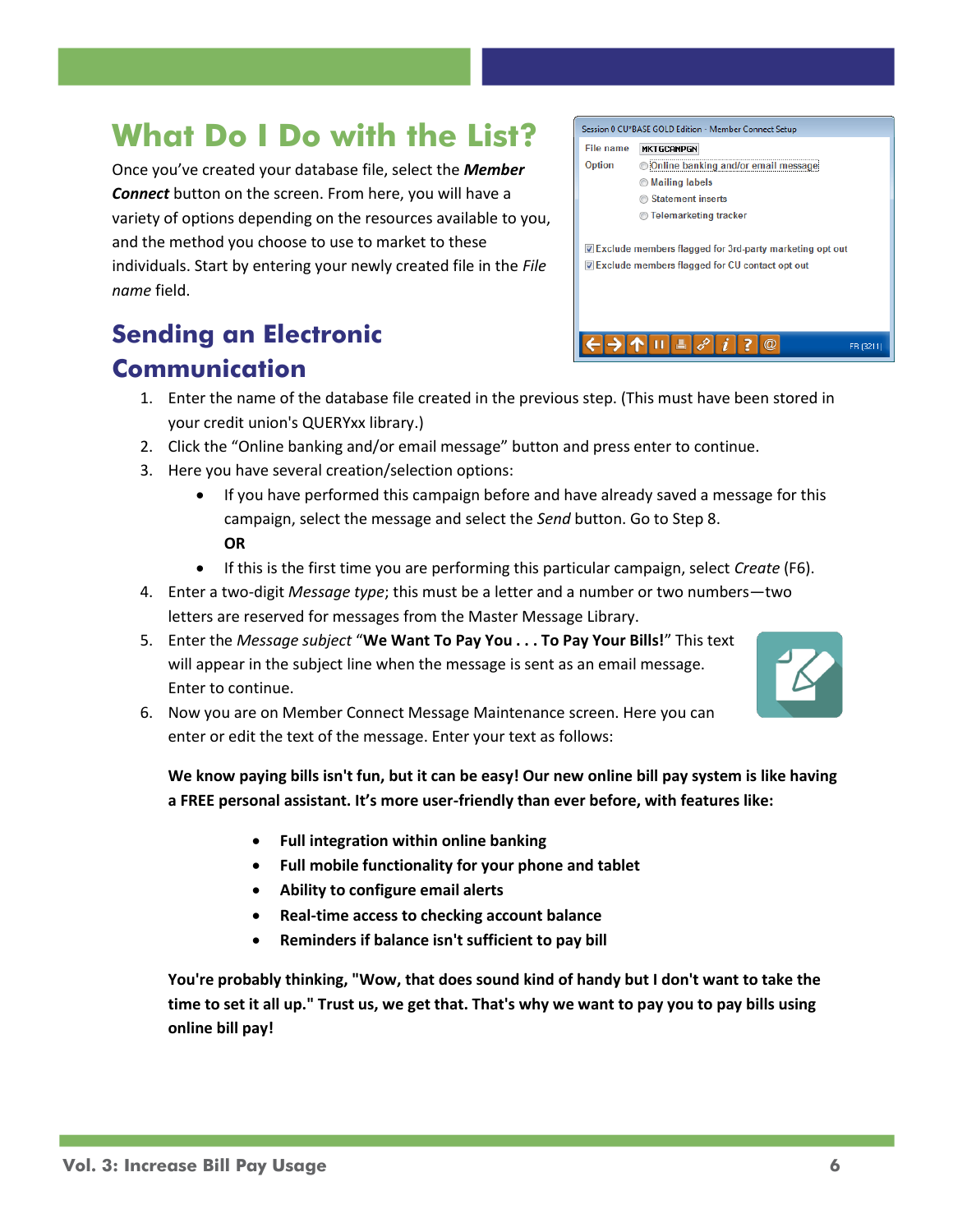#### **Vol. 3: Increase Bill Pay Usage 6**

# **What Do I Do with the List?**

Once you've created your database file, select the *Member Connect* button on the screen. From here, you will have a variety of options depending on the resources available to you, and the method you choose to use to market to these individuals. Start by entering your newly created file in the *File name* field.

## **Sending an Electronic Communication**

- 1. Enter the name of the database file created in the previous step. (This must have been stored in your credit union's QUERYxx library.)
- 2. Click the "Online banking and/or email message" button and press enter to continue.
- 3. Here you have several creation/selection options:
	- If you have performed this campaign before and have already saved a message for this campaign, select the message and select the *Send* button. Go to Step 8. **OR**
	- If this is the first time you are performing this particular campaign, select *Create* (F6).
- 4. Enter a two-digit *Message type*; this must be a letter and a number or two numbers—two letters are reserved for messages from the Master Message Library.
- 5. Enter the *Message subject* "**We Want To Pay You . . . To Pay Your Bills!**" This text will appear in the subject line when the message is sent as an email message. Enter to continue.
- 6. Now you are on Member Connect Message Maintenance screen. Here you can enter or edit the text of the message. Enter your text as follows:

**We know paying bills isn't fun, but it can be easy! Our new online bill pay system is like having a FREE personal assistant. It's more user-friendly than ever before, with features like:**

- **Full integration within online banking**
- **Full mobile functionality for your phone and tablet**
- **Ability to configure email alerts**
- **Real-time access to checking account balance**
- **Reminders if balance isn't sufficient to pay bill**

**You're probably thinking, "Wow, that does sound kind of handy but I don't want to take the time to set it all up." Trust us, we get that. That's why we want to pay you to pay bills using online bill pay!** 





Session 0 CU\*BASE GOLD Edition - Member Connect Setup

- File name MKTGCAMPGN
- 
- Option **Online banking and/or email message** 
	- **Mailing labels**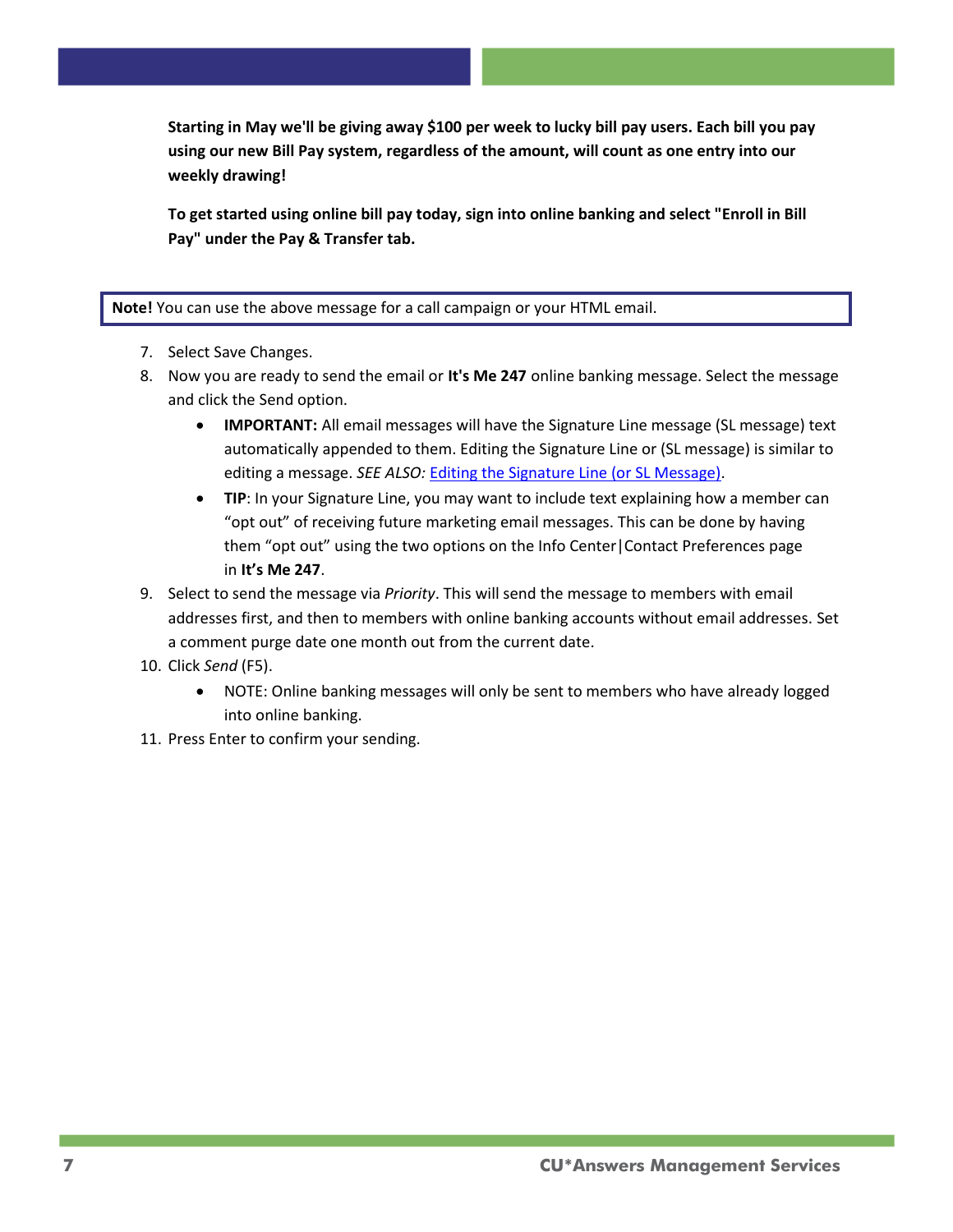**Starting in May we'll be giving away \$100 per week to lucky bill pay users. Each bill you pay using our new Bill Pay system, regardless of the amount, will count as one entry into our weekly drawing!**

**To get started using online bill pay today, sign into online banking and select "Enroll in Bill Pay" under the Pay & Transfer tab.**

**Note!** You can use the above message for a call campaign or your HTML email.

- 7. Select Save Changes.
- 8. Now you are ready to send the email or **It's Me 247** online banking message. Select the message and click the Send option.
	- **IMPORTANT:** All email messages will have the Signature Line message (SL message) text automatically appended to them. Editing the Signature Line or (SL message) is similar to editing a message. *SEE ALSO:* [Editing the Signature Line \(or SL Message\).](http://www.cuanswers.com/doc/cubase/3162g.htm#Editing_an_SL_Message)
	- **TIP**: In your Signature Line, you may want to include text explaining how a member can "opt out" of receiving future marketing email messages. This can be done by having them "opt out" using the two options on the Info Center|Contact Preferences page in **It's Me 247**.
- 9. Select to send the message via *Priority*. This will send the message to members with email addresses first, and then to members with online banking accounts without email addresses. Set a comment purge date one month out from the current date.
- 10. Click *Send* (F5).
	- NOTE: Online banking messages will only be sent to members who have already logged into online banking.
- 11. Press Enter to confirm your sending.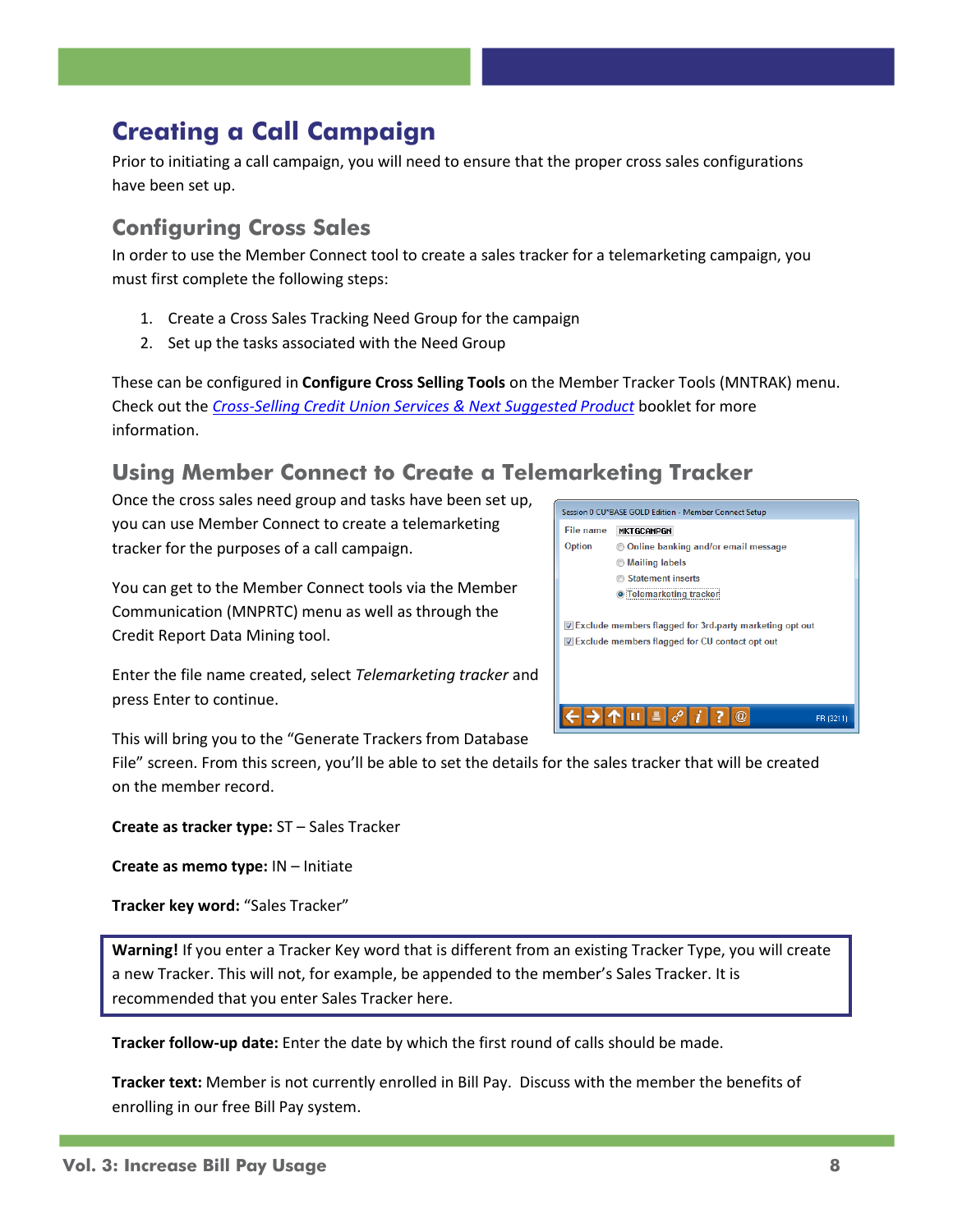## **Creating a Call Campaign**

Prior to initiating a call campaign, you will need to ensure that the proper cross sales configurations have been set up.

#### **Configuring Cross Sales**

In order to use the Member Connect tool to create a sales tracker for a telemarketing campaign, you must first complete the following steps:

- 1. Create a Cross Sales Tracking Need Group for the campaign
- 2. Set up the tasks associated with the Need Group

These can be configured in **Configure Cross Selling Tools** on the Member Tracker Tools (MNTRAK) menu. Check out the *[Cross-Selling Credit Union Services & Next Suggested Product](http://cuanswers.com/pdf/cb_ref/C-Cross-selling.pdf)* booklet for more information.

## **Using Member Connect to Create a Telemarketing Tracker**

Once the cross sales need group and tasks have been set up, you can use Member Connect to create a telemarketing tracker for the purposes of a call campaign.

You can get to the Member Connect tools via the Member Communication (MNPRTC) menu as well as through the Credit Report Data Mining tool.

Session 0 CU\*BASE GOLD Edition - Member Connect Setup File name MKTGCAMPGN Option Online banking and/or email message **Mailing labels** Statement inserts **O** Telemarketing tracker ☑ Exclude members flagged for 3rd-party marketing opt out Z Exclude members flagged for CU contact opt out ┡╟╝║╟╟  $\boldsymbol{i}$ 71 FR (3211)

Enter the file name created, select *Telemarketing tracker* and press Enter to continue.

This will bring you to the "Generate Trackers from Database

File" screen. From this screen, you'll be able to set the details for the sales tracker that will be created on the member record.

**Create as tracker type:** ST – Sales Tracker

**Create as memo type:** IN – Initiate

**Tracker key word:** "Sales Tracker"

**Warning!** If you enter a Tracker Key word that is different from an existing Tracker Type, you will create a new Tracker. This will not, for example, be appended to the member's Sales Tracker. It is recommended that you enter Sales Tracker here.

**Tracker follow-up date:** Enter the date by which the first round of calls should be made.

**Tracker text:** Member is not currently enrolled in Bill Pay. Discuss with the member the benefits of enrolling in our free Bill Pay system.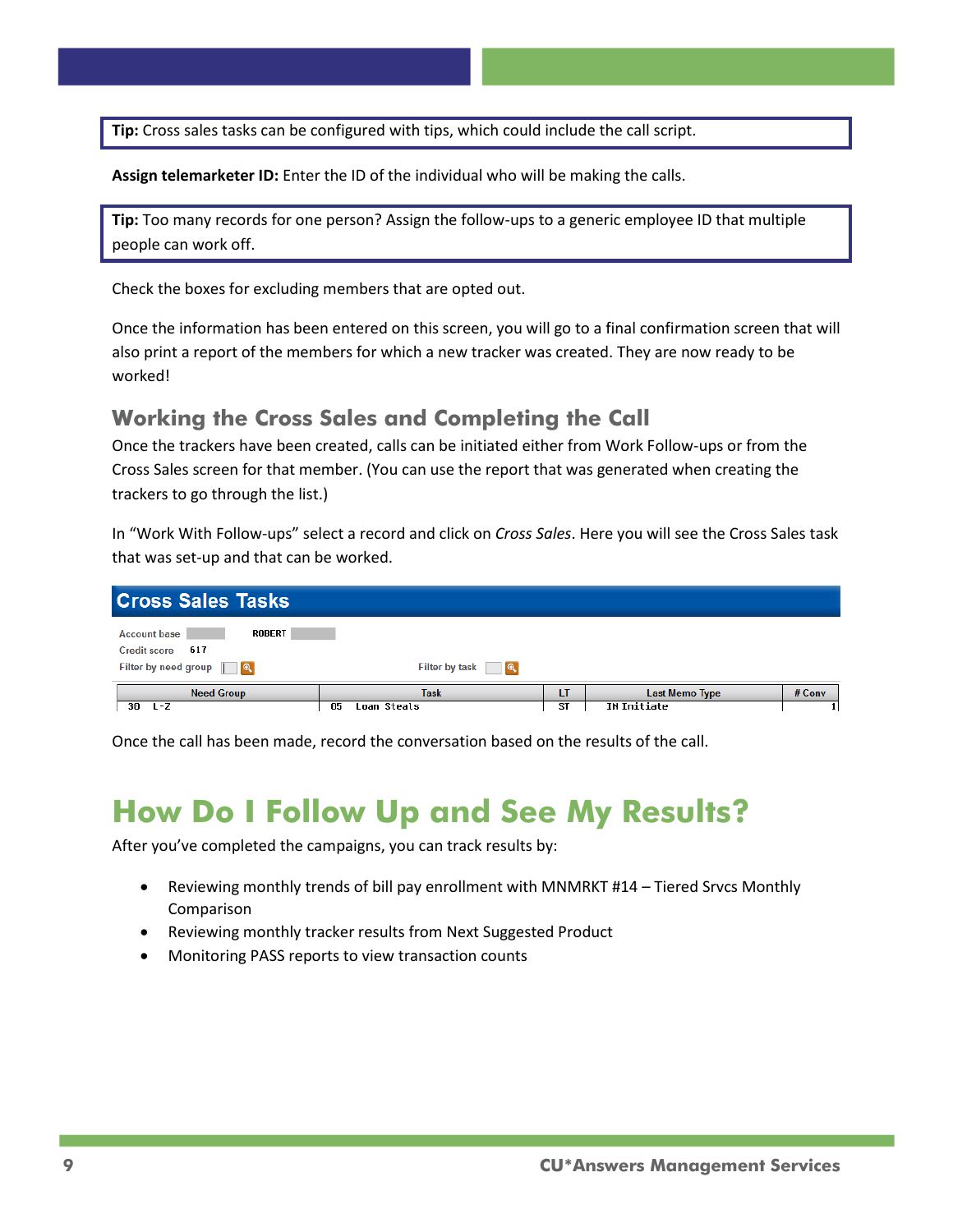**Tip:** Cross sales tasks can be configured with tips, which could include the call script.

Assign telemarketer ID: Enter the ID of the individual who will be making the calls.

**Tip:** Too many records for one person? Assign the follow-ups to a generic employee ID that multiple people can work off.

Check the boxes for excluding members that are opted out.

Once the information has been entered on this screen, you will go to a final confirmation screen that will also print a report of the members for which a new tracker was created. They are now ready to be worked!

#### **Working the Cross Sales and Completing the Call**

Once the trackers have been created, calls can be initiated either from Work Follow-ups or from the Cross Sales screen for that member. (You can use the report that was generated when creating the trackers to go through the list.)

In "Work With Follow-ups" select a record and click on *Cross Sales*. Here you will see the Cross Sales task that was set-up and that can be worked.

| <b>Cross Sales Tasks</b>                                                                  |                         |    |                       |        |  |  |  |  |  |
|-------------------------------------------------------------------------------------------|-------------------------|----|-----------------------|--------|--|--|--|--|--|
| ROBERT<br><b>Account base</b><br>Credit score 617<br>Filter by need group $\Box$ <b>Q</b> | Filter by task <b>Q</b> |    |                       |        |  |  |  |  |  |
| <b>Need Group</b>                                                                         | <b>Task</b>             | LT | <b>Last Memo Type</b> | # Conv |  |  |  |  |  |
| 30<br>L-Z                                                                                 | Loan Steals<br>05       | ST | <b>IN Initiate</b>    |        |  |  |  |  |  |

Once the call has been made, record the conversation based on the results of the call.

# **How Do I Follow Up and See My Results?**

After you've completed the campaigns, you can track results by:

- Reviewing monthly trends of bill pay enrollment with MNMRKT #14 Tiered Srvcs Monthly Comparison
- Reviewing monthly tracker results from Next Suggested Product
- Monitoring PASS reports to view transaction counts